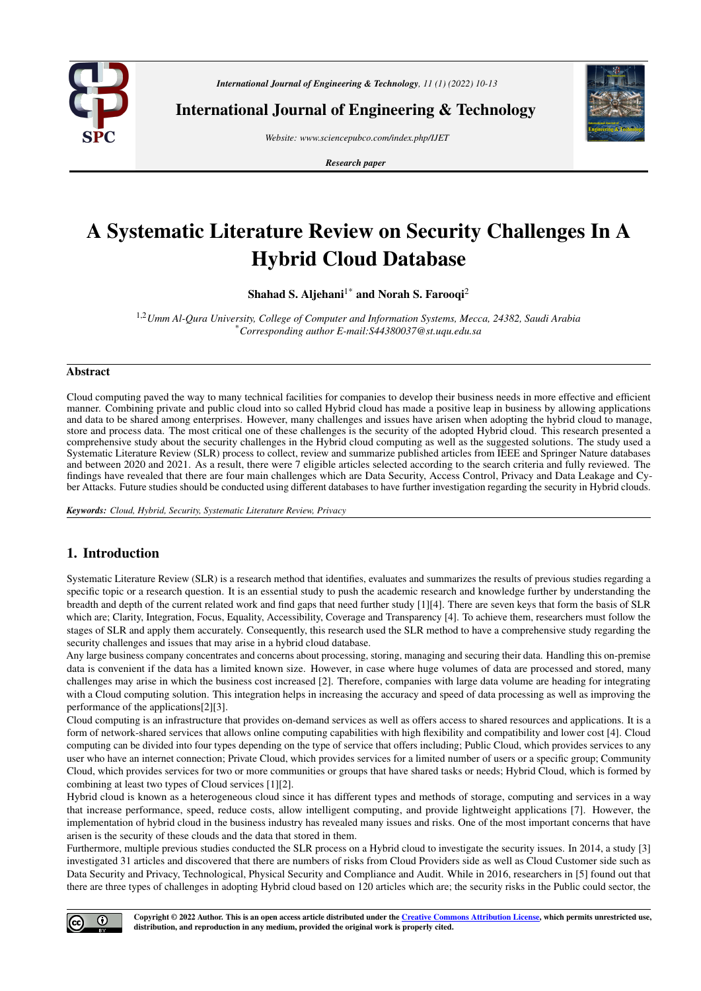

*International Journal of Engineering & Technology, 11 (1) (2022) 10-13*

International Journal of Engineering & Technology

*Website: www.sciencepubco.com/index.php/IJET*

*Research paper*



# A Systematic Literature Review on Security Challenges In A Hybrid Cloud Database

Shahad S. Aljehani $1^*$  and Norah S. Farooqi<sup>2</sup>

1,2*Umm Al-Qura University, College of Computer and Information Systems, Mecca, 24382, Saudi Arabia* \**Corresponding author E-mail:S44380037@st.uqu.edu.sa*

## Abstract

Cloud computing paved the way to many technical facilities for companies to develop their business needs in more effective and efficient manner. Combining private and public cloud into so called Hybrid cloud has made a positive leap in business by allowing applications and data to be shared among enterprises. However, many challenges and issues have arisen when adopting the hybrid cloud to manage, store and process data. The most critical one of these challenges is the security of the adopted Hybrid cloud. This research presented a comprehensive study about the security challenges in the Hybrid cloud computing as well as the suggested solutions. The study used a Systematic Literature Review (SLR) process to collect, review and summarize published articles from IEEE and Springer Nature databases and between 2020 and 2021. As a result, there were 7 eligible articles selected according to the search criteria and fully reviewed. The findings have revealed that there are four main challenges which are Data Security, Access Control, Privacy and Data Leakage and Cyber Attacks. Future studies should be conducted using different databases to have further investigation regarding the security in Hybrid clouds.

*Keywords: Cloud, Hybrid, Security, Systematic Literature Review, Privacy*

# 1. Introduction

Systematic Literature Review (SLR) is a research method that identifies, evaluates and summarizes the results of previous studies regarding a specific topic or a research question. It is an essential study to push the academic research and knowledge further by understanding the breadth and depth of the current related work and find gaps that need further study [1][4]. There are seven keys that form the basis of SLR which are; Clarity, Integration, Focus, Equality, Accessibility, Coverage and Transparency [4]. To achieve them, researchers must follow the stages of SLR and apply them accurately. Consequently, this research used the SLR method to have a comprehensive study regarding the security challenges and issues that may arise in a hybrid cloud database.

Any large business company concentrates and concerns about processing, storing, managing and securing their data. Handling this on-premise data is convenient if the data has a limited known size. However, in case where huge volumes of data are processed and stored, many challenges may arise in which the business cost increased [2]. Therefore, companies with large data volume are heading for integrating with a Cloud computing solution. This integration helps in increasing the accuracy and speed of data processing as well as improving the performance of the applications[2][3].

Cloud computing is an infrastructure that provides on-demand services as well as offers access to shared resources and applications. It is a form of network-shared services that allows online computing capabilities with high flexibility and compatibility and lower cost [4]. Cloud computing can be divided into four types depending on the type of service that offers including; Public Cloud, which provides services to any user who have an internet connection; Private Cloud, which provides services for a limited number of users or a specific group; Community Cloud, which provides services for two or more communities or groups that have shared tasks or needs; Hybrid Cloud, which is formed by combining at least two types of Cloud services [1][2].

Hybrid cloud is known as a heterogeneous cloud since it has different types and methods of storage, computing and services in a way that increase performance, speed, reduce costs, allow intelligent computing, and provide lightweight applications [7]. However, the implementation of hybrid cloud in the business industry has revealed many issues and risks. One of the most important concerns that have arisen is the security of these clouds and the data that stored in them.

Furthermore, multiple previous studies conducted the SLR process on a Hybrid cloud to investigate the security issues. In 2014, a study [3] investigated 31 articles and discovered that there are numbers of risks from Cloud Providers side as well as Cloud Customer side such as Data Security and Privacy, Technological, Physical Security and Compliance and Audit. While in 2016, researchers in [5] found out that there are three types of challenges in adopting Hybrid cloud based on 120 articles which are; the security risks in the Public could sector, the

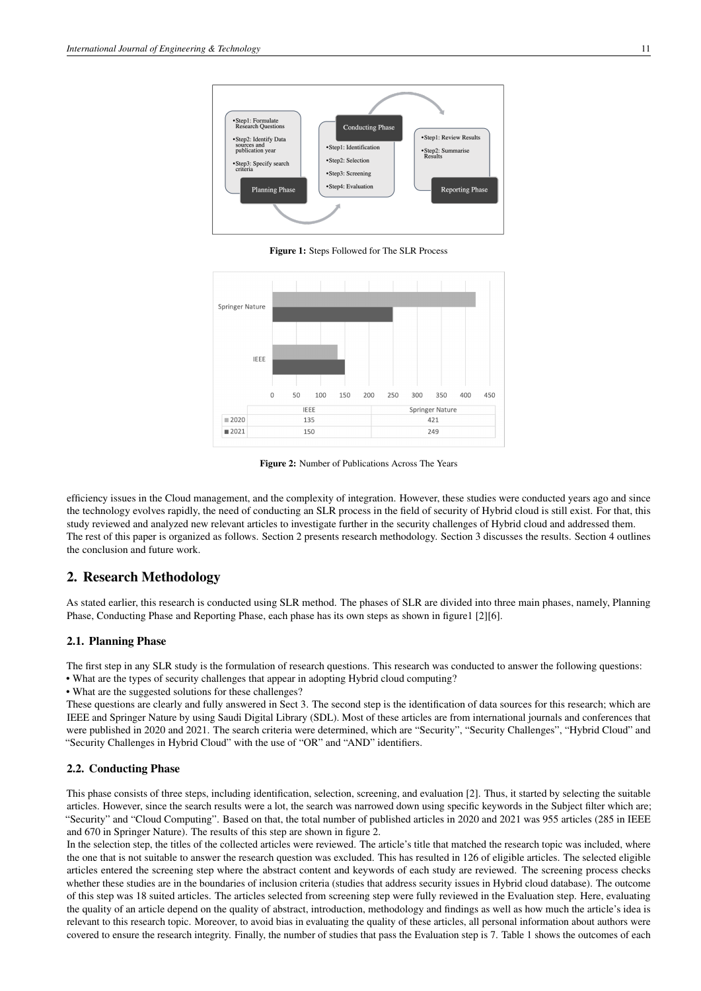

Figure 1: Steps Followed for The SLR Process



Figure 2: Number of Publications Across The Years

efficiency issues in the Cloud management, and the complexity of integration. However, these studies were conducted years ago and since the technology evolves rapidly, the need of conducting an SLR process in the field of security of Hybrid cloud is still exist. For that, this study reviewed and analyzed new relevant articles to investigate further in the security challenges of Hybrid cloud and addressed them. The rest of this paper is organized as follows. Section 2 presents research methodology. Section 3 discusses the results. Section 4 outlines the conclusion and future work.

# 2. Research Methodology

As stated earlier, this research is conducted using SLR method. The phases of SLR are divided into three main phases, namely, Planning Phase, Conducting Phase and Reporting Phase, each phase has its own steps as shown in figure1 [2][6].

## 2.1. Planning Phase

The first step in any SLR study is the formulation of research questions. This research was conducted to answer the following questions: • What are the types of security challenges that appear in adopting Hybrid cloud computing?

• What are the suggested solutions for these challenges?

These questions are clearly and fully answered in Sect 3. The second step is the identification of data sources for this research; which are IEEE and Springer Nature by using Saudi Digital Library (SDL). Most of these articles are from international journals and conferences that were published in 2020 and 2021. The search criteria were determined, which are "Security", "Security Challenges", "Hybrid Cloud" and "Security Challenges in Hybrid Cloud" with the use of "OR" and "AND" identifiers.

#### 2.2. Conducting Phase

This phase consists of three steps, including identification, selection, screening, and evaluation [2]. Thus, it started by selecting the suitable articles. However, since the search results were a lot, the search was narrowed down using specific keywords in the Subject filter which are; "Security" and "Cloud Computing". Based on that, the total number of published articles in 2020 and 2021 was 955 articles (285 in IEEE and 670 in Springer Nature). The results of this step are shown in figure 2.

In the selection step, the titles of the collected articles were reviewed. The article's title that matched the research topic was included, where the one that is not suitable to answer the research question was excluded. This has resulted in 126 of eligible articles. The selected eligible articles entered the screening step where the abstract content and keywords of each study are reviewed. The screening process checks whether these studies are in the boundaries of inclusion criteria (studies that address security issues in Hybrid cloud database). The outcome of this step was 18 suited articles. The articles selected from screening step were fully reviewed in the Evaluation step. Here, evaluating the quality of an article depend on the quality of abstract, introduction, methodology and findings as well as how much the article's idea is relevant to this research topic. Moreover, to avoid bias in evaluating the quality of these articles, all personal information about authors were covered to ensure the research integrity. Finally, the number of studies that pass the Evaluation step is 7. Table 1 shows the outcomes of each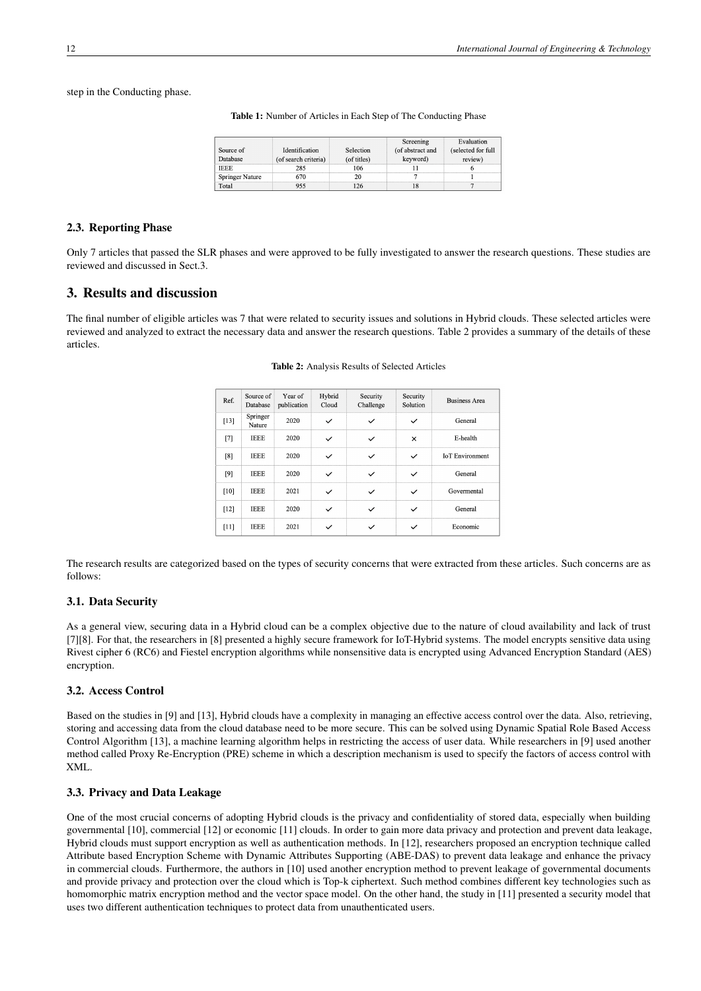step in the Conducting phase.

Table 1: Number of Articles in Each Step of The Conducting Phase

|                 |                      |             | Screening        | Evaluation         |
|-----------------|----------------------|-------------|------------------|--------------------|
| Source of       | Identification       | Selection   | (of abstract and | (selected for full |
| atabase         | (of search criteria) | (of titles) | keyword)         | review             |
|                 |                      |             |                  |                    |
| Springer Nature |                      |             |                  |                    |
| "otai           |                      |             |                  |                    |

#### 2.3. Reporting Phase

Only 7 articles that passed the SLR phases and were approved to be fully investigated to answer the research questions. These studies are reviewed and discussed in Sect.3.

## 3. Results and discussion

The final number of eligible articles was 7 that were related to security issues and solutions in Hybrid clouds. These selected articles were reviewed and analyzed to extract the necessary data and answer the research questions. Table 2 provides a summary of the details of these articles.

| Ref.   | Source of<br>Database | Year of<br>publication | Hybrid<br>Cloud | Security<br>Challenge | Security<br>Solution | <b>Business Area</b>   |
|--------|-----------------------|------------------------|-----------------|-----------------------|----------------------|------------------------|
| $[13]$ | Springer<br>Nature    | 2020                   |                 |                       |                      | General                |
| [7]    | <b>IEEE</b>           | 2020                   |                 |                       | $\times$             | E-health               |
| [8]    | <b>IEEE</b>           | 2020                   |                 |                       |                      | <b>IoT</b> Environment |
| [9]    | <b>IEEE</b>           | 2020                   |                 |                       |                      | General                |
| [10]   | <b>IEEE</b>           | 2021                   |                 |                       |                      | Govermental            |
| $[12]$ | <b>IEEE</b>           | 2020                   |                 |                       |                      | General                |
| [11]   | <b>IEEE</b>           | 2021                   |                 |                       |                      | Economic               |

Table 2: Analysis Results of Selected Articles

The research results are categorized based on the types of security concerns that were extracted from these articles. Such concerns are as follows:

## 3.1. Data Security

As a general view, securing data in a Hybrid cloud can be a complex objective due to the nature of cloud availability and lack of trust [7][8]. For that, the researchers in [8] presented a highly secure framework for IoT-Hybrid systems. The model encrypts sensitive data using Rivest cipher 6 (RC6) and Fiestel encryption algorithms while nonsensitive data is encrypted using Advanced Encryption Standard (AES) encryption.

## 3.2. Access Control

Based on the studies in [9] and [13], Hybrid clouds have a complexity in managing an effective access control over the data. Also, retrieving, storing and accessing data from the cloud database need to be more secure. This can be solved using Dynamic Spatial Role Based Access Control Algorithm [13], a machine learning algorithm helps in restricting the access of user data. While researchers in [9] used another method called Proxy Re-Encryption (PRE) scheme in which a description mechanism is used to specify the factors of access control with XML.

## 3.3. Privacy and Data Leakage

One of the most crucial concerns of adopting Hybrid clouds is the privacy and confidentiality of stored data, especially when building governmental [10], commercial [12] or economic [11] clouds. In order to gain more data privacy and protection and prevent data leakage, Hybrid clouds must support encryption as well as authentication methods. In [12], researchers proposed an encryption technique called Attribute based Encryption Scheme with Dynamic Attributes Supporting (ABE-DAS) to prevent data leakage and enhance the privacy in commercial clouds. Furthermore, the authors in [10] used another encryption method to prevent leakage of governmental documents and provide privacy and protection over the cloud which is Top-k ciphertext. Such method combines different key technologies such as homomorphic matrix encryption method and the vector space model. On the other hand, the study in [11] presented a security model that uses two different authentication techniques to protect data from unauthenticated users.